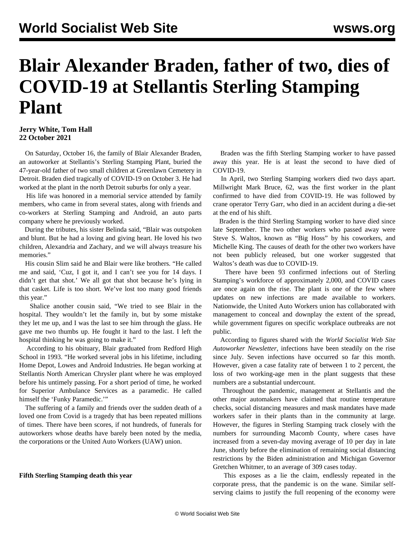# **Blair Alexander Braden, father of two, dies of COVID-19 at Stellantis Sterling Stamping Plant**

### **Jerry White, Tom Hall 22 October 2021**

 On Saturday, October 16, the family of Blair Alexander Braden, an autoworker at Stellantis's Sterling Stamping Plant, buried the 47-year-old father of two small children at Greenlawn Cemetery in Detroit. Braden died tragically of COVID-19 on October 3. He had worked at the plant in the north Detroit suburbs for only a year.

 His life was honored in a memorial service attended by family members, who came in from several states, along with friends and co-workers at Sterling Stamping and Android, an auto parts company where he previously worked.

 During the tributes, his sister Belinda said, "Blair was outspoken and blunt. But he had a loving and giving heart. He loved his two children, Alexandria and Zachary, and we will always treasure his memories."

 His cousin Slim said he and Blair were like brothers. "He called me and said, 'Cuz, I got it, and I can't see you for 14 days. I didn't get that shot.' We all got that shot because he's lying in that casket. Life is too short. We've lost too many good friends this year."

 Shalice another cousin said, "We tried to see Blair in the hospital. They wouldn't let the family in, but by some mistake they let me up, and I was the last to see him through the glass. He gave me two thumbs up. He fought it hard to the last. I left the hospital thinking he was going to make it."

 According to his obituary, Blair graduated from Redford High School in 1993. "He worked several jobs in his lifetime, including Home Depot, Lowes and Android Industries. He began working at Stellantis North American Chrysler plant where he was employed before his untimely passing. For a short period of time, he worked for Superior Ambulance Services as a paramedic. He called himself the 'Funky Paramedic.'"

 The suffering of a family and friends over the sudden death of a loved one from Covid is a tragedy that has been repeated millions of times. There have been scores, if not hundreds, of funerals for autoworkers whose deaths have barely been noted by the media, the corporations or the United Auto Workers (UAW) union.

#### **Fifth Sterling Stamping death this year**

 Braden was the fifth Sterling Stamping worker to have passed away this year. He is at least the second to have died of COVID-19.

 In April, two Sterling Stamping workers died two days apart. Millwright Mark Bruce, 62, was the first worker in the plant confirmed to have died from COVID-19. He was followed by crane operator Terry Garr, who died in an accident during a die-set at the end of his shift.

 Braden is the third Sterling Stamping worker to have died since late September. The two other workers who passed away were Steve S. Waltos, known as "Big Hoss" by his coworkers, and Michelle King. The causes of death for the other two workers have not been publicly released, but one worker suggested that Waltos's death was due to COVID-19.

 There have been 93 confirmed infections out of Sterling Stamping's workforce of approximately 2,000, and COVID cases are once again on the rise. The plant is one of the few where updates on new infections are made available to workers. Nationwide, the United Auto Workers union has collaborated with management to conceal and downplay the extent of the spread, while government figures on specific workplace outbreaks are not public.

 According to figures shared with the *World Socialist Web Site Autoworker Newsletter*, infections have been steadily on the rise since July. Seven infections have occurred so far this month. However, given a case fatality rate of between 1 to 2 percent, the loss of two working-age men in the plant suggests that these numbers are a substantial undercount.

 Throughout the pandemic, management at Stellantis and the other major automakers have claimed that routine temperature checks, social distancing measures and mask mandates have made workers safer in their plants than in the community at large. However, the figures in Sterling Stamping track closely with the numbers for surrounding Macomb County, where cases have increased from a seven-day moving average of 10 per day in late June, shortly before the elimination of remaining social distancing restrictions by the Biden administration and Michigan Governor Gretchen Whitmer, to an average of 309 cases today.

 This exposes as a lie the claim, endlessly repeated in the corporate press, that the pandemic is on the wane. Similar selfserving claims to justify the full reopening of the economy were